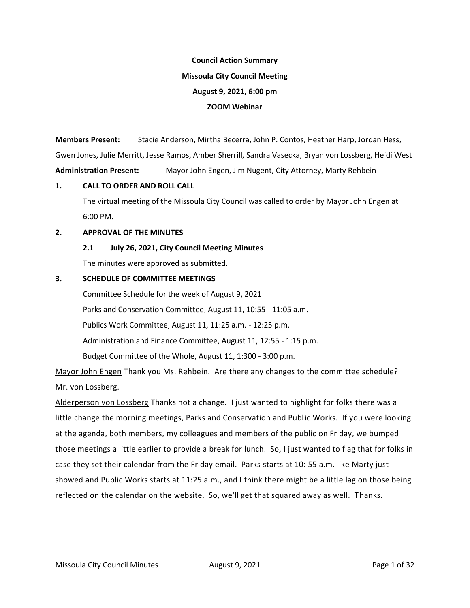# **Council Action Summary Missoula City Council Meeting August 9, 2021, 6:00 pm ZOOM Webinar**

**Members Present:** Stacie Anderson, Mirtha Becerra, John P. Contos, Heather Harp, Jordan Hess, Gwen Jones, Julie Merritt, Jesse Ramos, Amber Sherrill, Sandra Vasecka, Bryan von Lossberg, Heidi West **Administration Present:** Mayor John Engen, Jim Nugent, City Attorney, Marty Rehbein

#### **1. CALL TO ORDER AND ROLL CALL**

The virtual meeting of the Missoula City Council was called to order by Mayor John Engen at 6:00 PM.

#### **2. APPROVAL OF THE MINUTES**

**2.1 July 26, 2021, City Council Meeting Minutes**

The minutes were approved as submitted.

## **3. SCHEDULE OF COMMITTEE MEETINGS**

Committee Schedule for the week of August 9, 2021 Parks and Conservation Committee, August 11, 10:55 - 11:05 a.m. Publics Work Committee, August 11, 11:25 a.m. - 12:25 p.m. Administration and Finance Committee, August 11, 12:55 - 1:15 p.m. Budget Committee of the Whole, August 11, 1:300 - 3:00 p.m.

Mayor John Engen Thank you Ms. Rehbein. Are there any changes to the committee schedule? Mr. von Lossberg.

Alderperson von Lossberg Thanks not a change. I just wanted to highlight for folks there was a little change the morning meetings, Parks and Conservation and Public Works. If you were looking at the agenda, both members, my colleagues and members of the public on Friday, we bumped those meetings a little earlier to provide a break for lunch. So, I just wanted to flag that for folks in case they set their calendar from the Friday email. Parks starts at 10: 55 a.m. like Marty just showed and Public Works starts at 11:25 a.m., and I think there might be a little lag on those being reflected on the calendar on the website. So, we'll get that squared away as well. Thanks.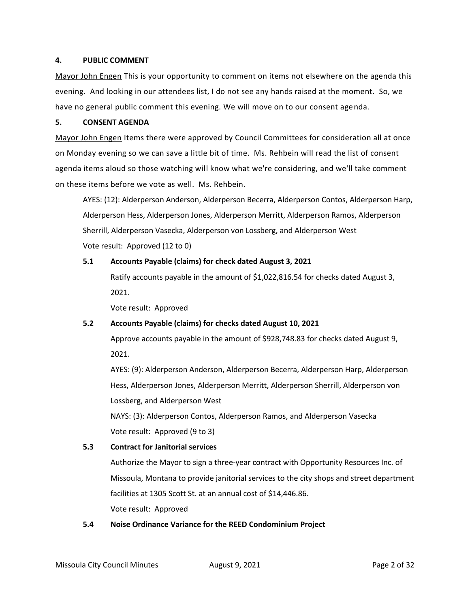#### **4. PUBLIC COMMENT**

Mayor John Engen This is your opportunity to comment on items not elsewhere on the agenda this evening. And looking in our attendees list, I do not see any hands raised at the moment. So, we have no general public comment this evening. We will move on to our consent agenda.

#### **5. CONSENT AGENDA**

Mayor John Engen Items there were approved by Council Committees for consideration all at once on Monday evening so we can save a little bit of time. Ms. Rehbein will read the list of consent agenda items aloud so those watching will know what we're considering, and we'll take comment on these items before we vote as well. Ms. Rehbein.

AYES: (12): Alderperson Anderson, Alderperson Becerra, Alderperson Contos, Alderperson Harp, Alderperson Hess, Alderperson Jones, Alderperson Merritt, Alderperson Ramos, Alderperson Sherrill, Alderperson Vasecka, Alderperson von Lossberg, and Alderperson West Vote result: Approved (12 to 0)

#### **5.1 Accounts Payable (claims) for check dated August 3, 2021**

Ratify accounts payable in the amount of \$1,022,816.54 for checks dated August 3, 2021.

Vote result: Approved

## **5.2 Accounts Payable (claims) for checks dated August 10, 2021**

Approve accounts payable in the amount of \$928,748.83 for checks dated August 9, 2021.

AYES: (9): Alderperson Anderson, Alderperson Becerra, Alderperson Harp, Alderperson Hess, Alderperson Jones, Alderperson Merritt, Alderperson Sherrill, Alderperson von Lossberg, and Alderperson West

NAYS: (3): Alderperson Contos, Alderperson Ramos, and Alderperson Vasecka Vote result: Approved (9 to 3)

## **5.3 Contract for Janitorial services**

Authorize the Mayor to sign a three-year contract with Opportunity Resources Inc. of Missoula, Montana to provide janitorial services to the city shops and street department facilities at 1305 Scott St. at an annual cost of \$14,446.86. Vote result: Approved

#### **5.4 Noise Ordinance Variance for the REED Condominium Project**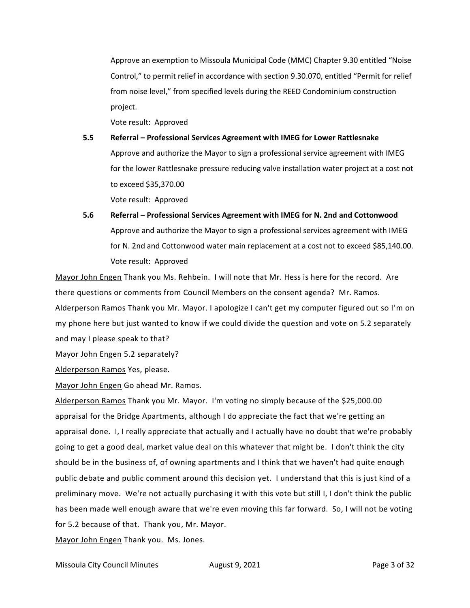Approve an exemption to Missoula Municipal Code (MMC) Chapter 9.30 entitled "Noise Control," to permit relief in accordance with section 9.30.070, entitled "Permit for relief from noise level," from specified levels during the REED Condominium construction project.

Vote result: Approved

- **5.5 Referral – Professional Services Agreement with IMEG for Lower Rattlesnake** Approve and authorize the Mayor to sign a professional service agreement with IMEG for the lower Rattlesnake pressure reducing valve installation water project at a cost not to exceed \$35,370.00 Vote result: Approved
- **5.6 Referral – Professional Services Agreement with IMEG for N. 2nd and Cottonwood** Approve and authorize the Mayor to sign a professional services agreement with IMEG for N. 2nd and Cottonwood water main replacement at a cost not to exceed \$85,140.00. Vote result: Approved

Mayor John Engen Thank you Ms. Rehbein. I will note that Mr. Hess is here for the record. Are there questions or comments from Council Members on the consent agenda? Mr. Ramos. Alderperson Ramos Thank you Mr. Mayor. I apologize I can't get my computer figured out so I'm on my phone here but just wanted to know if we could divide the question and vote on 5.2 separately and may I please speak to that?

Mayor John Engen 5.2 separately?

Alderperson Ramos Yes, please.

Mayor John Engen Go ahead Mr. Ramos.

Alderperson Ramos Thank you Mr. Mayor. I'm voting no simply because of the \$25,000.00 appraisal for the Bridge Apartments, although I do appreciate the fact that we're getting an appraisal done. I, I really appreciate that actually and I actually have no doubt that we're probably going to get a good deal, market value deal on this whatever that might be. I don't think the city should be in the business of, of owning apartments and I think that we haven't had quite enough public debate and public comment around this decision yet. I understand that this is just kind of a preliminary move. We're not actually purchasing it with this vote but still I, I don't think the public has been made well enough aware that we're even moving this far forward. So, I will not be voting for 5.2 because of that. Thank you, Mr. Mayor.

Mayor John Engen Thank you. Ms. Jones.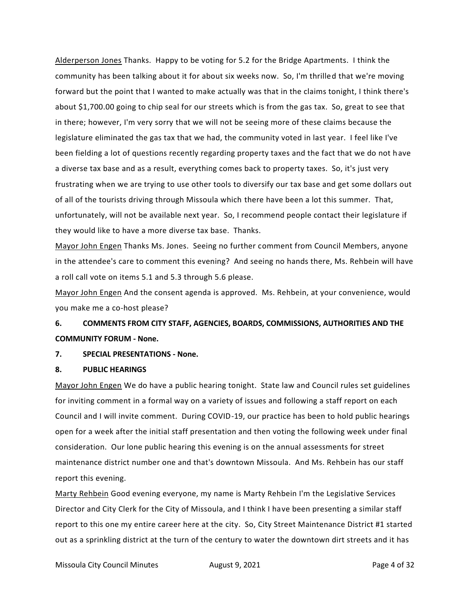Alderperson Jones Thanks. Happy to be voting for 5.2 for the Bridge Apartments. I think the community has been talking about it for about six weeks now. So, I'm thrilled that we're moving forward but the point that I wanted to make actually was that in the claims tonight, I think there's about \$1,700.00 going to chip seal for our streets which is from the gas tax. So, great to see that in there; however, I'm very sorry that we will not be seeing more of these claims because the legislature eliminated the gas tax that we had, the community voted in last year. I feel like I've been fielding a lot of questions recently regarding property taxes and the fact that we do not have a diverse tax base and as a result, everything comes back to property taxes. So, it's just very frustrating when we are trying to use other tools to diversify our tax base and get some dollars out of all of the tourists driving through Missoula which there have been a lot this summer. That, unfortunately, will not be available next year. So, I recommend people contact their legislature if they would like to have a more diverse tax base. Thanks.

Mayor John Engen Thanks Ms. Jones. Seeing no further comment from Council Members, anyone in the attendee's care to comment this evening? And seeing no hands there, Ms. Rehbein will have a roll call vote on items 5.1 and 5.3 through 5.6 please.

Mayor John Engen And the consent agenda is approved. Ms. Rehbein, at your convenience, would you make me a co-host please?

## **6. COMMENTS FROM CITY STAFF, AGENCIES, BOARDS, COMMISSIONS, AUTHORITIES AND THE COMMUNITY FORUM - None.**

#### **7. SPECIAL PRESENTATIONS - None.**

#### **8. PUBLIC HEARINGS**

Mayor John Engen We do have a public hearing tonight. State law and Council rules set guidelines for inviting comment in a formal way on a variety of issues and following a staff report on each Council and I will invite comment. During COVID-19, our practice has been to hold public hearings open for a week after the initial staff presentation and then voting the following week under final consideration. Our lone public hearing this evening is on the annual assessments for street maintenance district number one and that's downtown Missoula. And Ms. Rehbein has our staff report this evening.

Marty Rehbein Good evening everyone, my name is Marty Rehbein I'm the Legislative Services Director and City Clerk for the City of Missoula, and I think I have been presenting a similar staff report to this one my entire career here at the city. So, City Street Maintenance District #1 started out as a sprinkling district at the turn of the century to water the downtown dirt streets and it has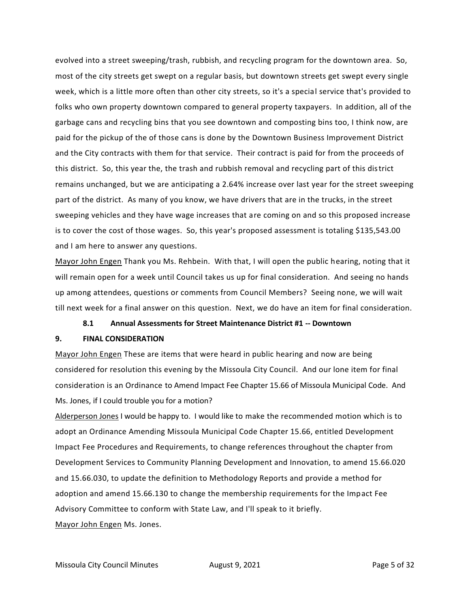evolved into a street sweeping/trash, rubbish, and recycling program for the downtown area. So, most of the city streets get swept on a regular basis, but downtown streets get swept every single week, which is a little more often than other city streets, so it's a special service that's provided to folks who own property downtown compared to general property taxpayers. In addition, all of the garbage cans and recycling bins that you see downtown and composting bins too, I think now, are paid for the pickup of the of those cans is done by the Downtown Business Improvement District and the City contracts with them for that service. Their contract is paid for from the proceeds of this district. So, this year the, the trash and rubbish removal and recycling part of this district remains unchanged, but we are anticipating a 2.64% increase over last year for the street sweeping part of the district. As many of you know, we have drivers that are in the trucks, in the street sweeping vehicles and they have wage increases that are coming on and so this proposed increase is to cover the cost of those wages. So, this year's proposed assessment is totaling \$135,543.00 and I am here to answer any questions.

Mayor John Engen Thank you Ms. Rehbein. With that, I will open the public hearing, noting that it will remain open for a week until Council takes us up for final consideration. And seeing no hands up among attendees, questions or comments from Council Members? Seeing none, we will wait till next week for a final answer on this question. Next, we do have an item for final consideration.

#### **8.1 Annual Assessments for Street Maintenance District #1 -- Downtown**

#### **9. FINAL CONSIDERATION**

Mayor John Engen These are items that were heard in public hearing and now are being considered for resolution this evening by the Missoula City Council. And our lone item for final consideration is an Ordinance to Amend Impact Fee Chapter 15.66 of Missoula Municipal Code. And Ms. Jones, if I could trouble you for a motion?

Alderperson Jones I would be happy to. I would like to make the recommended motion which is to adopt an Ordinance Amending Missoula Municipal Code Chapter 15.66, entitled Development Impact Fee Procedures and Requirements, to change references throughout the chapter from Development Services to Community Planning Development and Innovation, to amend 15.66.020 and 15.66.030, to update the definition to Methodology Reports and provide a method for adoption and amend 15.66.130 to change the membership requirements for the Impact Fee Advisory Committee to conform with State Law, and I'll speak to it briefly. Mayor John Engen Ms. Jones.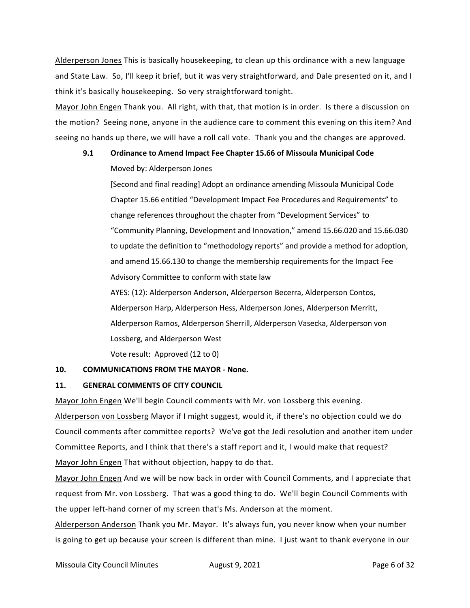Alderperson Jones This is basically housekeeping, to clean up this ordinance with a new language and State Law. So, I'll keep it brief, but it was very straightforward, and Dale presented on it, and I think it's basically housekeeping. So very straightforward tonight.

Mayor John Engen Thank you. All right, with that, that motion is in order. Is there a discussion on the motion? Seeing none, anyone in the audience care to comment this evening on this item? And seeing no hands up there, we will have a roll call vote. Thank you and the changes are approved.

## **9.1 Ordinance to Amend Impact Fee Chapter 15.66 of Missoula Municipal Code**

Moved by: Alderperson Jones

[Second and final reading] Adopt an ordinance amending Missoula Municipal Code Chapter 15.66 entitled "Development Impact Fee Procedures and Requirements" to change references throughout the chapter from "Development Services" to "Community Planning, Development and Innovation," amend 15.66.020 and 15.66.030 to update the definition to "methodology reports" and provide a method for adoption, and amend 15.66.130 to change the membership requirements for the Impact Fee Advisory Committee to conform with state law

AYES: (12): Alderperson Anderson, Alderperson Becerra, Alderperson Contos, Alderperson Harp, Alderperson Hess, Alderperson Jones, Alderperson Merritt, Alderperson Ramos, Alderperson Sherrill, Alderperson Vasecka, Alderperson von Lossberg, and Alderperson West

Vote result: Approved (12 to 0)

#### **10. COMMUNICATIONS FROM THE MAYOR - None.**

#### **11. GENERAL COMMENTS OF CITY COUNCIL**

Mayor John Engen We'll begin Council comments with Mr. von Lossberg this evening. Alderperson von Lossberg Mayor if I might suggest, would it, if there's no objection could we do Council comments after committee reports? We've got the Jedi resolution and another item under Committee Reports, and I think that there's a staff report and it, I would make that request? Mayor John Engen That without objection, happy to do that.

Mayor John Engen And we will be now back in order with Council Comments, and I appreciate that request from Mr. von Lossberg. That was a good thing to do. We'll begin Council Comments with the upper left-hand corner of my screen that's Ms. Anderson at the moment.

Alderperson Anderson Thank you Mr. Mayor. It's always fun, you never know when your number is going to get up because your screen is different than mine. I just want to thank everyone in our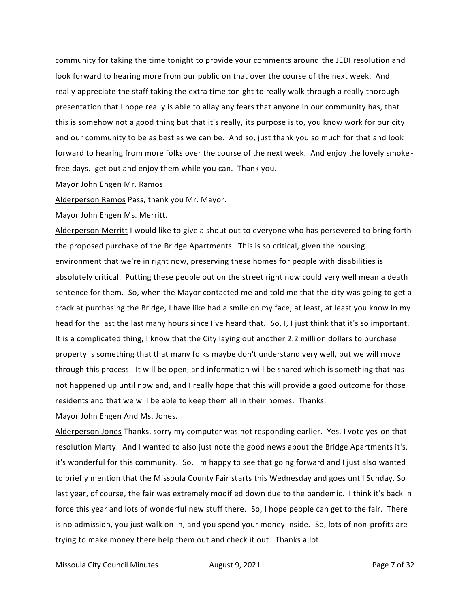community for taking the time tonight to provide your comments around the JEDI resolution and look forward to hearing more from our public on that over the course of the next week. And I really appreciate the staff taking the extra time tonight to really walk through a really thorough presentation that I hope really is able to allay any fears that anyone in our community has, that this is somehow not a good thing but that it's really, its purpose is to, you know work for our city and our community to be as best as we can be. And so, just thank you so much for that and look forward to hearing from more folks over the course of the next week. And enjoy the lovely smoke free days. get out and enjoy them while you can. Thank you.

Mayor John Engen Mr. Ramos.

Alderperson Ramos Pass, thank you Mr. Mayor.

Mayor John Engen Ms. Merritt.

Alderperson Merritt I would like to give a shout out to everyone who has persevered to bring forth the proposed purchase of the Bridge Apartments. This is so critical, given the housing environment that we're in right now, preserving these homes for people with disabilities is absolutely critical. Putting these people out on the street right now could very well mean a death sentence for them. So, when the Mayor contacted me and told me that the city was going to get a crack at purchasing the Bridge, I have like had a smile on my face, at least, at least you know in my head for the last the last many hours since I've heard that. So, I, I just think that it's so important. It is a complicated thing, I know that the City laying out another 2.2 million dollars to purchase property is something that that many folks maybe don't understand very well, but we will move through this process. It will be open, and information will be shared which is something that has not happened up until now and, and I really hope that this will provide a good outcome for those residents and that we will be able to keep them all in their homes. Thanks.

Mayor John Engen And Ms. Jones.

Alderperson Jones Thanks, sorry my computer was not responding earlier. Yes, I vote yes on that resolution Marty. And I wanted to also just note the good news about the Bridge Apartments it's, it's wonderful for this community. So, I'm happy to see that going forward and I just also wanted to briefly mention that the Missoula County Fair starts this Wednesday and goes until Sunday. So last year, of course, the fair was extremely modified down due to the pandemic. I think it's back in force this year and lots of wonderful new stuff there. So, I hope people can get to the fair. There is no admission, you just walk on in, and you spend your money inside. So, lots of non-profits are trying to make money there help them out and check it out. Thanks a lot.

Missoula City Council Minutes **August 9, 2021 Page 7 of 32**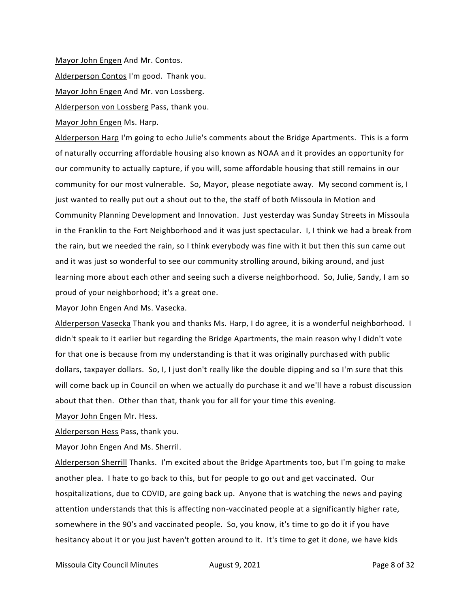Mayor John Engen And Mr. Contos. Alderperson Contos I'm good. Thank you. Mayor John Engen And Mr. von Lossberg. Alderperson von Lossberg Pass, thank you.

Mayor John Engen Ms. Harp.

Alderperson Harp I'm going to echo Julie's comments about the Bridge Apartments. This is a form of naturally occurring affordable housing also known as NOAA and it provides an opportunity for our community to actually capture, if you will, some affordable housing that still remains in our community for our most vulnerable. So, Mayor, please negotiate away. My second comment is, I just wanted to really put out a shout out to the, the staff of both Missoula in Motion and Community Planning Development and Innovation. Just yesterday was Sunday Streets in Missoula in the Franklin to the Fort Neighborhood and it was just spectacular. I, I think we had a break from the rain, but we needed the rain, so I think everybody was fine with it but then this sun came out and it was just so wonderful to see our community strolling around, biking around, and just learning more about each other and seeing such a diverse neighborhood. So, Julie, Sandy, I am so proud of your neighborhood; it's a great one.

Mayor John Engen And Ms. Vasecka.

Alderperson Vasecka Thank you and thanks Ms. Harp, I do agree, it is a wonderful neighborhood. I didn't speak to it earlier but regarding the Bridge Apartments, the main reason why I didn't vote for that one is because from my understanding is that it was originally purchased with public dollars, taxpayer dollars. So, I, I just don't really like the double dipping and so I'm sure that this will come back up in Council on when we actually do purchase it and we'll have a robust discussion about that then. Other than that, thank you for all for your time this evening.

Mayor John Engen Mr. Hess.

Alderperson Hess Pass, thank you.

Mayor John Engen And Ms. Sherril.

Alderperson Sherrill Thanks. I'm excited about the Bridge Apartments too, but I'm going to make another plea. I hate to go back to this, but for people to go out and get vaccinated. Our hospitalizations, due to COVID, are going back up. Anyone that is watching the news and paying attention understands that this is affecting non-vaccinated people at a significantly higher rate, somewhere in the 90's and vaccinated people. So, you know, it's time to go do it if you have hesitancy about it or you just haven't gotten around to it. It's time to get it done, we have kids

Missoula City Council Minutes **August 9, 2021 Page 8 of 32**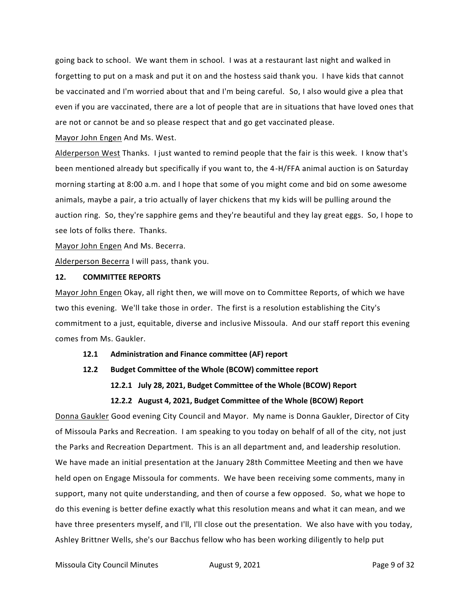going back to school. We want them in school. I was at a restaurant last night and walked in forgetting to put on a mask and put it on and the hostess said thank you. I have kids that cannot be vaccinated and I'm worried about that and I'm being careful. So, I also would give a plea that even if you are vaccinated, there are a lot of people that are in situations that have loved ones that are not or cannot be and so please respect that and go get vaccinated please.

Mayor John Engen And Ms. West.

Alderperson West Thanks. I just wanted to remind people that the fair is this week. I know that's been mentioned already but specifically if you want to, the 4-H/FFA animal auction is on Saturday morning starting at 8:00 a.m. and I hope that some of you might come and bid on some awesome animals, maybe a pair, a trio actually of layer chickens that my kids will be pulling around the auction ring. So, they're sapphire gems and they're beautiful and they lay great eggs. So, I hope to see lots of folks there. Thanks.

Mayor John Engen And Ms. Becerra.

Alderperson Becerra I will pass, thank you.

#### **12. COMMITTEE REPORTS**

Mayor John Engen Okay, all right then, we will move on to Committee Reports, of which we have two this evening. We'll take those in order. The first is a resolution establishing the City's commitment to a just, equitable, diverse and inclusive Missoula. And our staff report this evening comes from Ms. Gaukler.

#### **12.1 Administration and Finance committee (AF) report**

- **12.2 Budget Committee of the Whole (BCOW) committee report**
	- **12.2.1 July 28, 2021, Budget Committee of the Whole (BCOW) Report**

#### **12.2.2 August 4, 2021, Budget Committee of the Whole (BCOW) Report**

Donna Gaukler Good evening City Council and Mayor. My name is Donna Gaukler, Director of City of Missoula Parks and Recreation. I am speaking to you today on behalf of all of the city, not just the Parks and Recreation Department. This is an all department and, and leadership resolution. We have made an initial presentation at the January 28th Committee Meeting and then we have held open on Engage Missoula for comments. We have been receiving some comments, many in support, many not quite understanding, and then of course a few opposed. So, what we hope to do this evening is better define exactly what this resolution means and what it can mean, and we have three presenters myself, and I'll, I'll close out the presentation. We also have with you today, Ashley Brittner Wells, she's our Bacchus fellow who has been working diligently to help put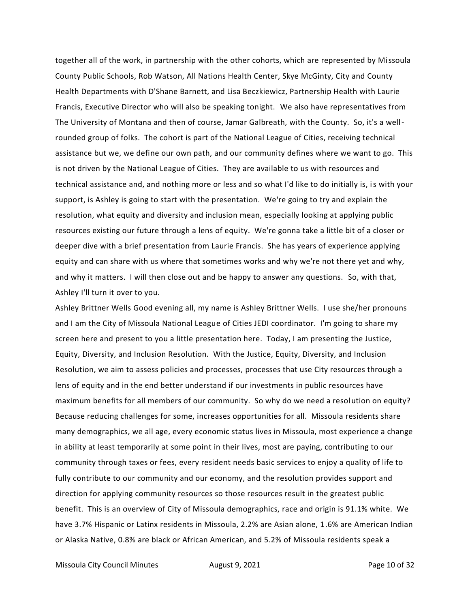together all of the work, in partnership with the other cohorts, which are represented by Missoula County Public Schools, Rob Watson, All Nations Health Center, Skye McGinty, City and County Health Departments with D'Shane Barnett, and Lisa Beczkiewicz, Partnership Health with Laurie Francis, Executive Director who will also be speaking tonight. We also have representatives from The University of Montana and then of course, Jamar Galbreath, with the County. So, it's a wellrounded group of folks. The cohort is part of the National League of Cities, receiving technical assistance but we, we define our own path, and our community defines where we want to go. This is not driven by the National League of Cities. They are available to us with resources and technical assistance and, and nothing more or less and so what I'd like to do initially is, is with your support, is Ashley is going to start with the presentation. We're going to try and explain the resolution, what equity and diversity and inclusion mean, especially looking at applying public resources existing our future through a lens of equity. We're gonna take a little bit of a closer or deeper dive with a brief presentation from Laurie Francis. She has years of experience applying equity and can share with us where that sometimes works and why we're not there yet and why, and why it matters. I will then close out and be happy to answer any questions. So, with that, Ashley I'll turn it over to you.

Ashley Brittner Wells Good evening all, my name is Ashley Brittner Wells. I use she/her pronouns and I am the City of Missoula National League of Cities JEDI coordinator. I'm going to share my screen here and present to you a little presentation here. Today, I am presenting the Justice, Equity, Diversity, and Inclusion Resolution. With the Justice, Equity, Diversity, and Inclusion Resolution, we aim to assess policies and processes, processes that use City resources through a lens of equity and in the end better understand if our investments in public resources have maximum benefits for all members of our community. So why do we need a resolution on equity? Because reducing challenges for some, increases opportunities for all. Missoula residents share many demographics, we all age, every economic status lives in Missoula, most experience a change in ability at least temporarily at some point in their lives, most are paying, contributing to our community through taxes or fees, every resident needs basic services to enjoy a quality of life to fully contribute to our community and our economy, and the resolution provides support and direction for applying community resources so those resources result in the greatest public benefit. This is an overview of City of Missoula demographics, race and origin is 91.1% white. We have 3.7% Hispanic or Latinx residents in Missoula, 2.2% are Asian alone, 1.6% are American Indian or Alaska Native, 0.8% are black or African American, and 5.2% of Missoula residents speak a

Missoula City Council Minutes **August 9, 2021 Page 10 of 32**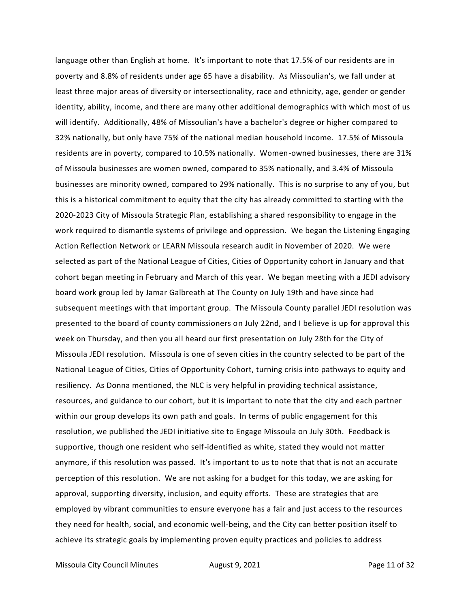language other than English at home. It's important to note that 17.5% of our residents are in poverty and 8.8% of residents under age 65 have a disability. As Missoulian's, we fall under at least three major areas of diversity or intersectionality, race and ethnicity, age, gender or gender identity, ability, income, and there are many other additional demographics with which most of us will identify. Additionally, 48% of Missoulian's have a bachelor's degree or higher compared to 32% nationally, but only have 75% of the national median household income. 17.5% of Missoula residents are in poverty, compared to 10.5% nationally. Women-owned businesses, there are 31% of Missoula businesses are women owned, compared to 35% nationally, and 3.4% of Missoula businesses are minority owned, compared to 29% nationally. This is no surprise to any of you, but this is a historical commitment to equity that the city has already committed to starting with the 2020-2023 City of Missoula Strategic Plan, establishing a shared responsibility to engage in the work required to dismantle systems of privilege and oppression. We began the Listening Engaging Action Reflection Network or LEARN Missoula research audit in November of 2020. We were selected as part of the National League of Cities, Cities of Opportunity cohort in January and that cohort began meeting in February and March of this year. We began meeting with a JEDI advisory board work group led by Jamar Galbreath at The County on July 19th and have since had subsequent meetings with that important group. The Missoula County parallel JEDI resolution was presented to the board of county commissioners on July 22nd, and I believe is up for approval this week on Thursday, and then you all heard our first presentation on July 28th for the City of Missoula JEDI resolution. Missoula is one of seven cities in the country selected to be part of the National League of Cities, Cities of Opportunity Cohort, turning crisis into pathways to equity and resiliency. As Donna mentioned, the NLC is very helpful in providing technical assistance, resources, and guidance to our cohort, but it is important to note that the city and each partner within our group develops its own path and goals. In terms of public engagement for this resolution, we published the JEDI initiative site to Engage Missoula on July 30th. Feedback is supportive, though one resident who self-identified as white, stated they would not matter anymore, if this resolution was passed. It's important to us to note that that is not an accurate perception of this resolution. We are not asking for a budget for this today, we are asking for approval, supporting diversity, inclusion, and equity efforts. These are strategies that are employed by vibrant communities to ensure everyone has a fair and just access to the resources they need for health, social, and economic well-being, and the City can better position itself to achieve its strategic goals by implementing proven equity practices and policies to address

Missoula City Council Minutes **August 9, 2021 Page 11 of 32**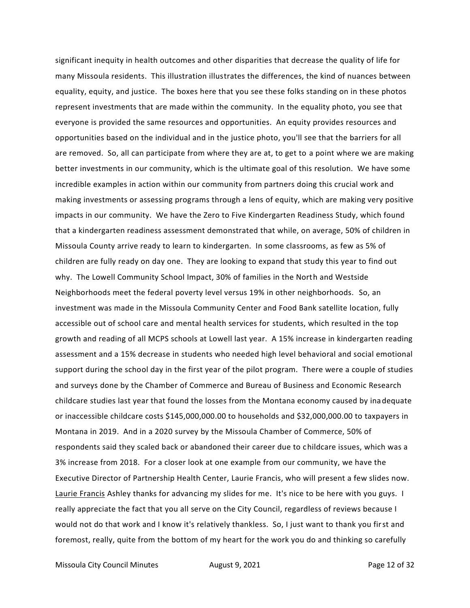significant inequity in health outcomes and other disparities that decrease the quality of life for many Missoula residents. This illustration illustrates the differences, the kind of nuances between equality, equity, and justice. The boxes here that you see these folks standing on in these photos represent investments that are made within the community. In the equality photo, you see that everyone is provided the same resources and opportunities. An equity provides resources and opportunities based on the individual and in the justice photo, you'll see that the barriers for all are removed. So, all can participate from where they are at, to get to a point where we are making better investments in our community, which is the ultimate goal of this resolution. We have some incredible examples in action within our community from partners doing this crucial work and making investments or assessing programs through a lens of equity, which are making very positive impacts in our community. We have the Zero to Five Kindergarten Readiness Study, which found that a kindergarten readiness assessment demonstrated that while, on average, 50% of children in Missoula County arrive ready to learn to kindergarten. In some classrooms, as few as 5% of children are fully ready on day one. They are looking to expand that study this year to find out why. The Lowell Community School Impact, 30% of families in the North and Westside Neighborhoods meet the federal poverty level versus 19% in other neighborhoods. So, an investment was made in the Missoula Community Center and Food Bank satellite location, fully accessible out of school care and mental health services for students, which resulted in the top growth and reading of all MCPS schools at Lowell last year. A 15% increase in kindergarten reading assessment and a 15% decrease in students who needed high level behavioral and social emotional support during the school day in the first year of the pilot program. There were a couple of studies and surveys done by the Chamber of Commerce and Bureau of Business and Economic Research childcare studies last year that found the losses from the Montana economy caused by inadequate or inaccessible childcare costs \$145,000,000.00 to households and \$32,000,000.00 to taxpayers in Montana in 2019. And in a 2020 survey by the Missoula Chamber of Commerce, 50% of respondents said they scaled back or abandoned their career due to childcare issues, which was a 3% increase from 2018. For a closer look at one example from our community, we have the Executive Director of Partnership Health Center, Laurie Francis, who will present a few slides now. Laurie Francis Ashley thanks for advancing my slides for me. It's nice to be here with you guys. I really appreciate the fact that you all serve on the City Council, regardless of reviews because I would not do that work and I know it's relatively thankless. So, I just want to thank you first and foremost, really, quite from the bottom of my heart for the work you do and thinking so carefully

Missoula City Council Minutes **August 9, 2021 Page 12 of 32**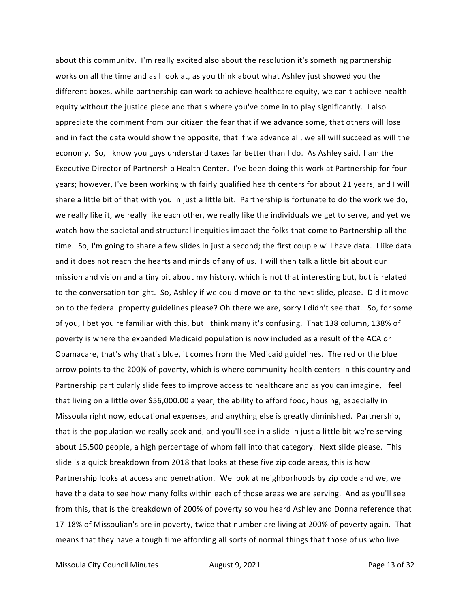about this community. I'm really excited also about the resolution it's something partnership works on all the time and as I look at, as you think about what Ashley just showed you the different boxes, while partnership can work to achieve healthcare equity, we can't achieve health equity without the justice piece and that's where you've come in to play significantly. I also appreciate the comment from our citizen the fear that if we advance some, that others will lose and in fact the data would show the opposite, that if we advance all, we all will succeed as will the economy. So, I know you guys understand taxes far better than I do. As Ashley said, I am the Executive Director of Partnership Health Center. I've been doing this work at Partnership for four years; however, I've been working with fairly qualified health centers for about 21 years, and I will share a little bit of that with you in just a little bit. Partnership is fortunate to do the work we do, we really like it, we really like each other, we really like the individuals we get to serve, and yet we watch how the societal and structural inequities impact the folks that come to Partnership all the time. So, I'm going to share a few slides in just a second; the first couple will have data. I like data and it does not reach the hearts and minds of any of us. I will then talk a little bit about our mission and vision and a tiny bit about my history, which is not that interesting but, but is related to the conversation tonight. So, Ashley if we could move on to the next slide, please. Did it move on to the federal property guidelines please? Oh there we are, sorry I didn't see that. So, for some of you, I bet you're familiar with this, but I think many it's confusing. That 138 column, 138% of poverty is where the expanded Medicaid population is now included as a result of the ACA or Obamacare, that's why that's blue, it comes from the Medicaid guidelines. The red or the blue arrow points to the 200% of poverty, which is where community health centers in this country and Partnership particularly slide fees to improve access to healthcare and as you can imagine, I feel that living on a little over \$56,000.00 a year, the ability to afford food, housing, especially in Missoula right now, educational expenses, and anything else is greatly diminished. Partnership, that is the population we really seek and, and you'll see in a slide in just a little bit we're serving about 15,500 people, a high percentage of whom fall into that category. Next slide please. This slide is a quick breakdown from 2018 that looks at these five zip code areas, this is how Partnership looks at access and penetration. We look at neighborhoods by zip code and we, we have the data to see how many folks within each of those areas we are serving. And as you'll see from this, that is the breakdown of 200% of poverty so you heard Ashley and Donna reference that 17-18% of Missoulian's are in poverty, twice that number are living at 200% of poverty again. That means that they have a tough time affording all sorts of normal things that those of us who live

Missoula City Council Minutes **August 9, 2021 Page 13 of 32**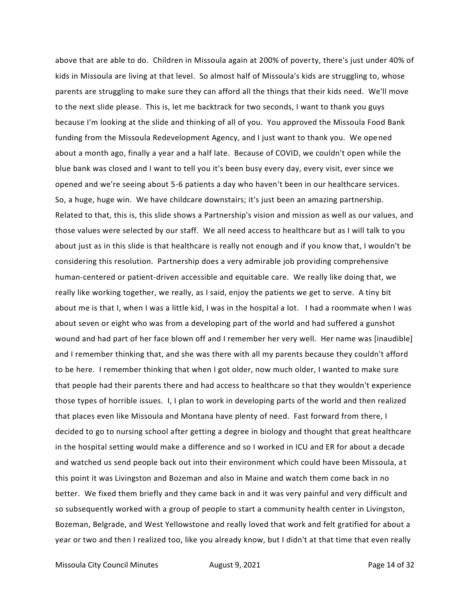above that are able to do. Children in Missoula again at 200% of poverty, there's just under 40% of kids in Missoula are living at that level. So almost half of Missoula's kids are struggling to, whose parents are struggling to make sure they can afford all the things that their kids need. We'll move to the next slide please. This is, let me backtrack for two seconds, I want to thank you guys because I'm looking at the slide and thinking of all of you. You approved the Missoula Food Bank funding from the Missoula Redevelopment Agency, and I just want to thank you. We opened about a month ago, finally a year and a half late. Because of COVID, we couldn't open while the blue bank was closed and I want to tell you it's been busy every day, every visit, ever since we opened and we're seeing about 5-6 patients a day who haven't been in our healthcare services. So, a huge, huge win. We have childcare downstairs; it's just been an amazing partnership. Related to that, this is, this slide shows a Partnership's vision and mission as well as our values, and those values were selected by our staff. We all need access to healthcare but as I will talk to you about just as in this slide is that healthcare is really not enough and if you know that, I wouldn't be considering this resolution. Partnership does a very admirable job providing comprehensive human-centered or patient-driven accessible and equitable care. We really like doing that, we really like working together, we really, as I said, enjoy the patients we get to serve. A tiny bit about me is that I, when I was a little kid, I was in the hospital a lot. I had a roommate when I was about seven or eight who was from a developing part of the world and had suffered a gunshot wound and had part of her face blown off and I remember her very well. Her name was [inaudible] and I remember thinking that, and she was there with all my parents because they couldn't afford to be here. I remember thinking that when I got older, now much older, I wanted to make sure that people had their parents there and had access to healthcare so that they wouldn't experience those types of horrible issues. I, I plan to work in developing parts of the world and then realized that places even like Missoula and Montana have plenty of need. Fast forward from there, I decided to go to nursing school after getting a degree in biology and thought that great healthcare in the hospital setting would make a difference and so I worked in ICU and ER for about a decade and watched us send people back out into their environment which could have been Missoula, at this point it was Livingston and Bozeman and also in Maine and watch them come back in no better. We fixed them briefly and they came back in and it was very painful and very difficult and so subsequently worked with a group of people to start a community health center in Livingston, Bozeman, Belgrade, and West Yellowstone and really loved that work and felt gratified for about a year or two and then I realized too, like you already know, but I didn't at that time that even really

Missoula City Council Minutes **August 9, 2021 Page 14 of 32**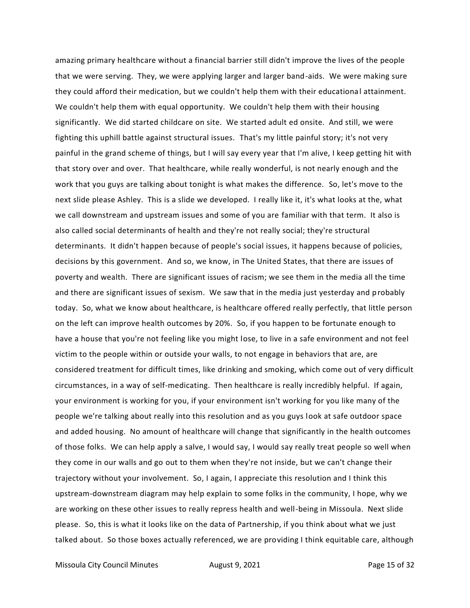amazing primary healthcare without a financial barrier still didn't improve the lives of the people that we were serving. They, we were applying larger and larger band-aids. We were making sure they could afford their medication, but we couldn't help them with their educational attainment. We couldn't help them with equal opportunity. We couldn't help them with their housing significantly. We did started childcare on site. We started adult ed onsite. And still, we were fighting this uphill battle against structural issues. That's my little painful story; it's not very painful in the grand scheme of things, but I will say every year that I'm alive, I keep getting hit with that story over and over. That healthcare, while really wonderful, is not nearly enough and the work that you guys are talking about tonight is what makes the difference. So, let's move to the next slide please Ashley. This is a slide we developed. I really like it, it's what looks at the, what we call downstream and upstream issues and some of you are familiar with that term. It also is also called social determinants of health and they're not really social; they're structural determinants. It didn't happen because of people's social issues, it happens because of policies, decisions by this government. And so, we know, in The United States, that there are issues of poverty and wealth. There are significant issues of racism; we see them in the media all the time and there are significant issues of sexism. We saw that in the media just yesterday and probably today. So, what we know about healthcare, is healthcare offered really perfectly, that little person on the left can improve health outcomes by 20%. So, if you happen to be fortunate enough to have a house that you're not feeling like you might lose, to live in a safe environment and not feel victim to the people within or outside your walls, to not engage in behaviors that are, are considered treatment for difficult times, like drinking and smoking, which come out of very difficult circumstances, in a way of self-medicating. Then healthcare is really incredibly helpful. If again, your environment is working for you, if your environment isn't working for you like many of the people we're talking about really into this resolution and as you guys look at safe outdoor space and added housing. No amount of healthcare will change that significantly in the health outcomes of those folks. We can help apply a salve, I would say, I would say really treat people so well when they come in our walls and go out to them when they're not inside, but we can't change their trajectory without your involvement. So, I again, I appreciate this resolution and I think this upstream-downstream diagram may help explain to some folks in the community, I hope, why we are working on these other issues to really repress health and well-being in Missoula. Next slide please. So, this is what it looks like on the data of Partnership, if you think about what we just talked about. So those boxes actually referenced, we are providing I think equitable care, although

Missoula City Council Minutes **August 9, 2021 Page 15 of 32**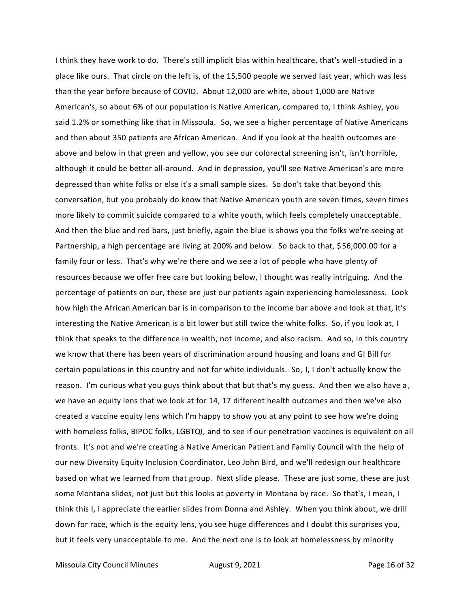I think they have work to do. There's still implicit bias within healthcare, that's well-studied in a place like ours. That circle on the left is, of the 15,500 people we served last year, which was less than the year before because of COVID. About 12,000 are white, about 1,000 are Native American's, so about 6% of our population is Native American, compared to, I think Ashley, you said 1.2% or something like that in Missoula. So, we see a higher percentage of Native Americans and then about 350 patients are African American. And if you look at the health outcomes are above and below in that green and yellow, you see our colorectal screening isn't, isn't horrible, although it could be better all-around. And in depression, you'll see Native American's are more depressed than white folks or else it's a small sample sizes. So don't take that beyond this conversation, but you probably do know that Native American youth are seven times, seven times more likely to commit suicide compared to a white youth, which feels completely unacceptable. And then the blue and red bars, just briefly, again the blue is shows you the folks we're seeing at Partnership, a high percentage are living at 200% and below. So back to that, \$56,000.00 for a family four or less. That's why we're there and we see a lot of people who have plenty of resources because we offer free care but looking below, I thought was really intriguing. And the percentage of patients on our, these are just our patients again experiencing homelessness. Look how high the African American bar is in comparison to the income bar above and look at that, it's interesting the Native American is a bit lower but still twice the white folks. So, if you look at, I think that speaks to the difference in wealth, not income, and also racism. And so, in this country we know that there has been years of discrimination around housing and loans and GI Bill for certain populations in this country and not for white individuals. So, I, I don't actually know the reason. I'm curious what you guys think about that but that's my guess. And then we also have a, we have an equity lens that we look at for 14, 17 different health outcomes and then we've also created a vaccine equity lens which I'm happy to show you at any point to see how we're doing with homeless folks, BIPOC folks, LGBTQI, and to see if our penetration vaccines is equivalent on all fronts. It's not and we're creating a Native American Patient and Family Council with the help of our new Diversity Equity Inclusion Coordinator, Leo John Bird, and we'll redesign our healthcare based on what we learned from that group. Next slide please. These are just some, these are just some Montana slides, not just but this looks at poverty in Montana by race. So that's, I mean, I think this I, I appreciate the earlier slides from Donna and Ashley. When you think about, we drill down for race, which is the equity lens, you see huge differences and I doubt this surprises you, but it feels very unacceptable to me. And the next one is to look at homelessness by minority

Missoula City Council Minutes **August 9, 2021 Page 16 of 32**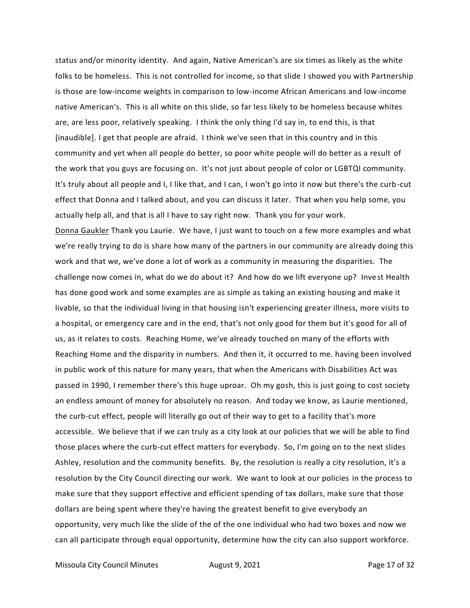status and/or minority identity. And again, Native American's are six times as likely as the white folks to be homeless. This is not controlled for income, so that slide I showed you with Partnership is those are low-income weights in comparison to low-income African Americans and low-income native American's. This is all white on this slide, so far less likely to be homeless because whites are, are less poor, relatively speaking. I think the only thing I'd say in, to end this, is that [inaudible]. I get that people are afraid. I think we've seen that in this country and in this community and yet when all people do better, so poor white people will do better as a result of the work that you guys are focusing on. It's not just about people of color or LGBTQI community. It's truly about all people and I, I like that, and I can, I won't go into it now but there's the curb-cut effect that Donna and I talked about, and you can discuss it later. That when you help some, you actually help all, and that is all I have to say right now. Thank you for your work. Donna Gaukler Thank you Laurie. We have, I just want to touch on a few more examples and what

we're really trying to do is share how many of the partners in our community are already doing this work and that we, we've done a lot of work as a community in measuring the disparities. The challenge now comes in, what do we do about it? And how do we lift everyone up? Invest Health has done good work and some examples are as simple as taking an existing housing and make it livable, so that the individual living in that housing isn't experiencing greater illness, more visits to a hospital, or emergency care and in the end, that's not only good for them but it's good for all of us, as it relates to costs. Reaching Home, we've already touched on many of the efforts with Reaching Home and the disparity in numbers. And then it, it occurred to me. having been involved in public work of this nature for many years, that when the Americans with Disabilities Act was passed in 1990, I remember there's this huge uproar. Oh my gosh, this is just going to cost society an endless amount of money for absolutely no reason. And today we know, as Laurie mentioned, the curb-cut effect, people will literally go out of their way to get to a facility that's more accessible. We believe that if we can truly as a city look at our policies that we will be able to find those places where the curb-cut effect matters for everybody. So, I'm going on to the next slides Ashley, resolution and the community benefits. By, the resolution is really a city resolution, it's a resolution by the City Council directing our work. We want to look at our policies in the process to make sure that they support effective and efficient spending of tax dollars, make sure that those dollars are being spent where they're having the greatest benefit to give everybody an opportunity, very much like the slide of the of the one individual who had two boxes and now we can all participate through equal opportunity, determine how the city can also support workforce.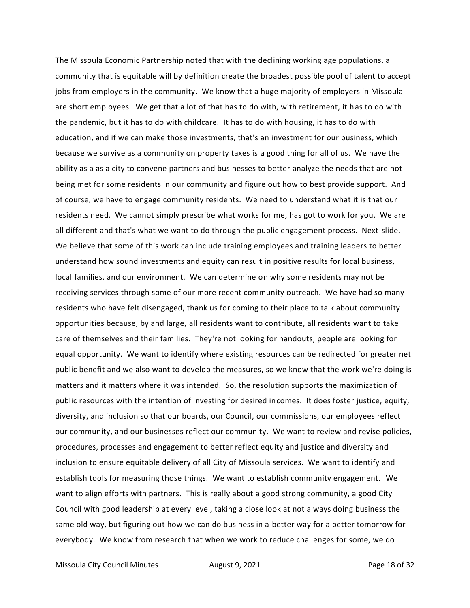The Missoula Economic Partnership noted that with the declining working age populations, a community that is equitable will by definition create the broadest possible pool of talent to accept jobs from employers in the community. We know that a huge majority of employers in Missoula are short employees. We get that a lot of that has to do with, with retirement, it has to do with the pandemic, but it has to do with childcare. It has to do with housing, it has to do with education, and if we can make those investments, that's an investment for our business, which because we survive as a community on property taxes is a good thing for all of us. We have the ability as a as a city to convene partners and businesses to better analyze the needs that are not being met for some residents in our community and figure out how to best provide support. And of course, we have to engage community residents. We need to understand what it is that our residents need. We cannot simply prescribe what works for me, has got to work for you. We are all different and that's what we want to do through the public engagement process. Next slide. We believe that some of this work can include training employees and training leaders to better understand how sound investments and equity can result in positive results for local business, local families, and our environment. We can determine on why some residents may not be receiving services through some of our more recent community outreach. We have had so many residents who have felt disengaged, thank us for coming to their place to talk about community opportunities because, by and large, all residents want to contribute, all residents want to take care of themselves and their families. They're not looking for handouts, people are looking for equal opportunity. We want to identify where existing resources can be redirected for greater net public benefit and we also want to develop the measures, so we know that the work we're doing is matters and it matters where it was intended. So, the resolution supports the maximization of public resources with the intention of investing for desired incomes. It does foster justice, equity, diversity, and inclusion so that our boards, our Council, our commissions, our employees reflect our community, and our businesses reflect our community. We want to review and revise policies, procedures, processes and engagement to better reflect equity and justice and diversity and inclusion to ensure equitable delivery of all City of Missoula services. We want to identify and establish tools for measuring those things. We want to establish community engagement. We want to align efforts with partners. This is really about a good strong community, a good City Council with good leadership at every level, taking a close look at not always doing business the same old way, but figuring out how we can do business in a better way for a better tomorrow for everybody. We know from research that when we work to reduce challenges for some, we do

Missoula City Council Minutes **August 9, 2021 Page 18 of 32**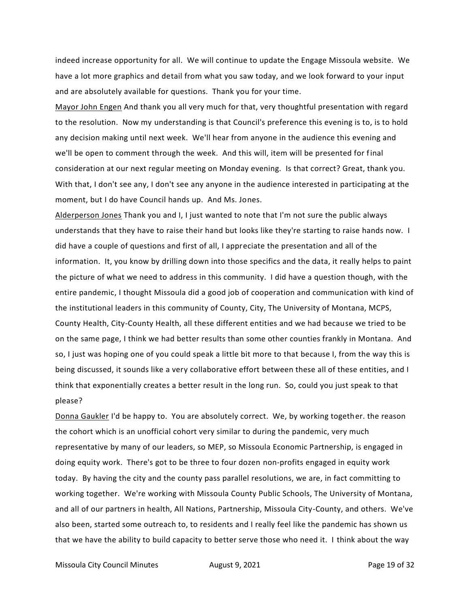indeed increase opportunity for all. We will continue to update the Engage Missoula website. We have a lot more graphics and detail from what you saw today, and we look forward to your input and are absolutely available for questions. Thank you for your time.

Mayor John Engen And thank you all very much for that, very thoughtful presentation with regard to the resolution. Now my understanding is that Council's preference this evening is to, is to hold any decision making until next week. We'll hear from anyone in the audience this evening and we'll be open to comment through the week. And this will, item will be presented for final consideration at our next regular meeting on Monday evening. Is that correct? Great, thank you. With that, I don't see any, I don't see any anyone in the audience interested in participating at the moment, but I do have Council hands up. And Ms. Jones.

Alderperson Jones Thank you and I, I just wanted to note that I'm not sure the public always understands that they have to raise their hand but looks like they're starting to raise hands now. I did have a couple of questions and first of all, I appreciate the presentation and all of the information. It, you know by drilling down into those specifics and the data, it really helps to paint the picture of what we need to address in this community. I did have a question though, with the entire pandemic, I thought Missoula did a good job of cooperation and communication with kind of the institutional leaders in this community of County, City, The University of Montana, MCPS, County Health, City-County Health, all these different entities and we had because we tried to be on the same page, I think we had better results than some other counties frankly in Montana. And so, I just was hoping one of you could speak a little bit more to that because I, from the way this is being discussed, it sounds like a very collaborative effort between these all of these entities, and I think that exponentially creates a better result in the long run. So, could you just speak to that please?

Donna Gaukler I'd be happy to. You are absolutely correct. We, by working together. the reason the cohort which is an unofficial cohort very similar to during the pandemic, very much representative by many of our leaders, so MEP, so Missoula Economic Partnership, is engaged in doing equity work. There's got to be three to four dozen non-profits engaged in equity work today. By having the city and the county pass parallel resolutions, we are, in fact committing to working together. We're working with Missoula County Public Schools, The University of Montana, and all of our partners in health, All Nations, Partnership, Missoula City-County, and others. We've also been, started some outreach to, to residents and I really feel like the pandemic has shown us that we have the ability to build capacity to better serve those who need it. I think about the way

Missoula City Council Minutes **August 9, 2021 Page 19 of 32**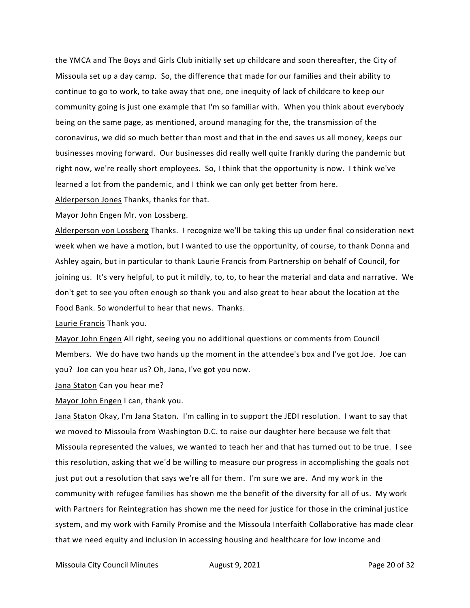the YMCA and The Boys and Girls Club initially set up childcare and soon thereafter, the City of Missoula set up a day camp. So, the difference that made for our families and their ability to continue to go to work, to take away that one, one inequity of lack of childcare to keep our community going is just one example that I'm so familiar with. When you think about everybody being on the same page, as mentioned, around managing for the, the transmission of the coronavirus, we did so much better than most and that in the end saves us all money, keeps our businesses moving forward. Our businesses did really well quite frankly during the pandemic but right now, we're really short employees. So, I think that the opportunity is now. I think we've learned a lot from the pandemic, and I think we can only get better from here.

Alderperson Jones Thanks, thanks for that.

Mayor John Engen Mr. von Lossberg.

Alderperson von Lossberg Thanks. I recognize we'll be taking this up under final consideration next week when we have a motion, but I wanted to use the opportunity, of course, to thank Donna and Ashley again, but in particular to thank Laurie Francis from Partnership on behalf of Council, for joining us. It's very helpful, to put it mildly, to, to, to hear the material and data and narrative. We don't get to see you often enough so thank you and also great to hear about the location at the Food Bank. So wonderful to hear that news. Thanks.

Laurie Francis Thank you.

Mayor John Engen All right, seeing you no additional questions or comments from Council Members. We do have two hands up the moment in the attendee's box and I've got Joe. Joe can you? Joe can you hear us? Oh, Jana, I've got you now.

Jana Staton Can you hear me?

Mayor John Engen I can, thank you.

Jana Staton Okay, I'm Jana Staton. I'm calling in to support the JEDI resolution. I want to say that we moved to Missoula from Washington D.C. to raise our daughter here because we felt that Missoula represented the values, we wanted to teach her and that has turned out to be true. I see this resolution, asking that we'd be willing to measure our progress in accomplishing the goals not just put out a resolution that says we're all for them. I'm sure we are. And my work in the community with refugee families has shown me the benefit of the diversity for all of us. My work with Partners for Reintegration has shown me the need for justice for those in the criminal justice system, and my work with Family Promise and the Missoula Interfaith Collaborative has made clear that we need equity and inclusion in accessing housing and healthcare for low income and

Missoula City Council Minutes **August 9, 2021 Page 20 of 32**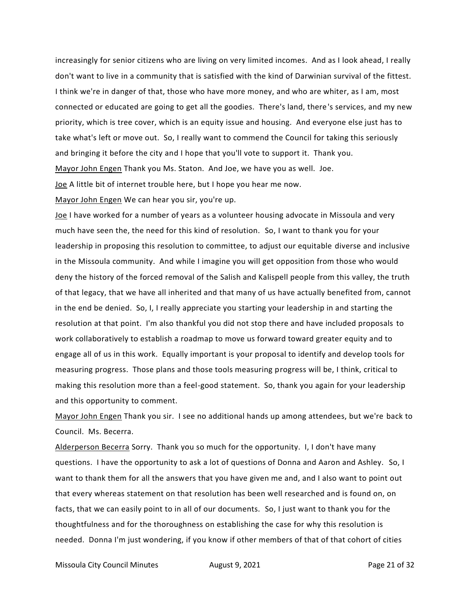increasingly for senior citizens who are living on very limited incomes. And as I look ahead, I really don't want to live in a community that is satisfied with the kind of Darwinian survival of the fittest. I think we're in danger of that, those who have more money, and who are whiter, as I am, most connected or educated are going to get all the goodies. There's land, there's services, and my new priority, which is tree cover, which is an equity issue and housing. And everyone else just has to take what's left or move out. So, I really want to commend the Council for taking this seriously and bringing it before the city and I hope that you'll vote to support it. Thank you. Mayor John Engen Thank you Ms. Staton. And Joe, we have you as well. Joe. Joe A little bit of internet trouble here, but I hope you hear me now.

Mayor John Engen We can hear you sir, you're up.

Joe I have worked for a number of years as a volunteer housing advocate in Missoula and very much have seen the, the need for this kind of resolution. So, I want to thank you for your leadership in proposing this resolution to committee, to adjust our equitable diverse and inclusive in the Missoula community. And while I imagine you will get opposition from those who would deny the history of the forced removal of the Salish and Kalispell people from this valley, the truth of that legacy, that we have all inherited and that many of us have actually benefited from, cannot in the end be denied. So, I, I really appreciate you starting your leadership in and starting the resolution at that point. I'm also thankful you did not stop there and have included proposals to work collaboratively to establish a roadmap to move us forward toward greater equity and to engage all of us in this work. Equally important is your proposal to identify and develop tools for measuring progress. Those plans and those tools measuring progress will be, I think, critical to making this resolution more than a feel-good statement. So, thank you again for your leadership and this opportunity to comment.

Mayor John Engen Thank you sir. I see no additional hands up among attendees, but we're back to Council. Ms. Becerra.

Alderperson Becerra Sorry. Thank you so much for the opportunity. I, I don't have many questions. I have the opportunity to ask a lot of questions of Donna and Aaron and Ashley. So, I want to thank them for all the answers that you have given me and, and I also want to point out that every whereas statement on that resolution has been well researched and is found on, on facts, that we can easily point to in all of our documents. So, I just want to thank you for the thoughtfulness and for the thoroughness on establishing the case for why this resolution is needed. Donna I'm just wondering, if you know if other members of that of that cohort of cities

Missoula City Council Minutes **August 9, 2021 Page 21 of 32**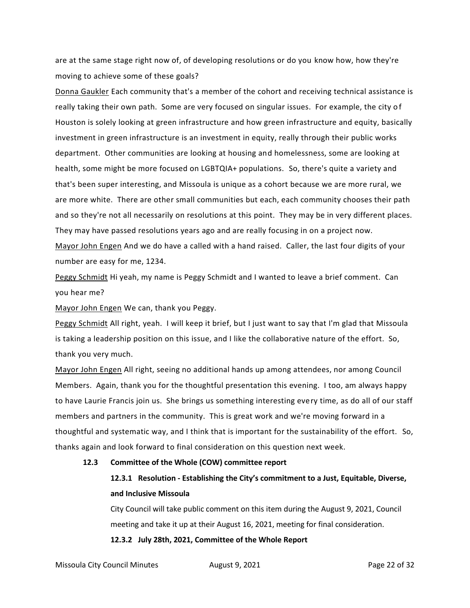are at the same stage right now of, of developing resolutions or do you know how, how they're moving to achieve some of these goals?

Donna Gaukler Each community that's a member of the cohort and receiving technical assistance is really taking their own path. Some are very focused on singular issues. For example, the city of Houston is solely looking at green infrastructure and how green infrastructure and equity, basically investment in green infrastructure is an investment in equity, really through their public works department. Other communities are looking at housing and homelessness, some are looking at health, some might be more focused on LGBTQIA+ populations. So, there's quite a variety and that's been super interesting, and Missoula is unique as a cohort because we are more rural, we are more white. There are other small communities but each, each community chooses their path and so they're not all necessarily on resolutions at this point. They may be in very different places. They may have passed resolutions years ago and are really focusing in on a project now.

Mayor John Engen And we do have a called with a hand raised. Caller, the last four digits of your number are easy for me, 1234.

Peggy Schmidt Hi yeah, my name is Peggy Schmidt and I wanted to leave a brief comment. Can you hear me?

Mayor John Engen We can, thank you Peggy.

Peggy Schmidt All right, yeah. I will keep it brief, but I just want to say that I'm glad that Missoula is taking a leadership position on this issue, and I like the collaborative nature of the effort. So, thank you very much.

Mayor John Engen All right, seeing no additional hands up among attendees, nor among Council Members. Again, thank you for the thoughtful presentation this evening. I too, am always happy to have Laurie Francis join us. She brings us something interesting every time, as do all of our staff members and partners in the community. This is great work and we're moving forward in a thoughtful and systematic way, and I think that is important for the sustainability of the effort. So, thanks again and look forward to final consideration on this question next week.

#### **12.3 Committee of the Whole (COW) committee report**

## **12.3.1 Resolution - Establishing the City's commitment to a Just, Equitable, Diverse, and Inclusive Missoula**

City Council will take public comment on this item during the August 9, 2021, Council meeting and take it up at their August 16, 2021, meeting for final consideration.

#### **12.3.2 July 28th, 2021, Committee of the Whole Report**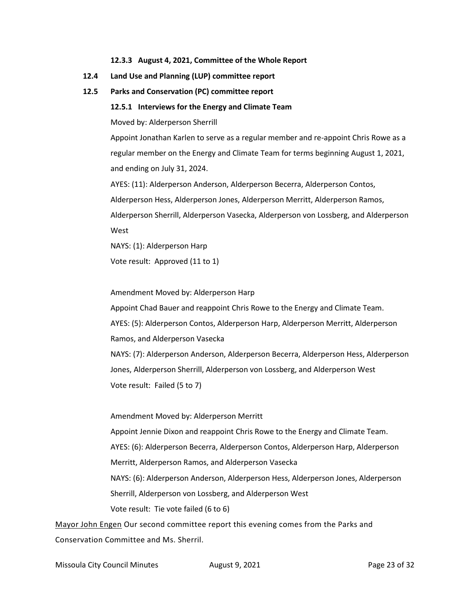**12.3.3 August 4, 2021, Committee of the Whole Report**

- **12.4 Land Use and Planning (LUP) committee report**
- **12.5 Parks and Conservation (PC) committee report**
	- **12.5.1 Interviews for the Energy and Climate Team**

Moved by: Alderperson Sherrill

Appoint Jonathan Karlen to serve as a regular member and re-appoint Chris Rowe as a regular member on the Energy and Climate Team for terms beginning August 1, 2021, and ending on July 31, 2024.

AYES: (11): Alderperson Anderson, Alderperson Becerra, Alderperson Contos,

Alderperson Hess, Alderperson Jones, Alderperson Merritt, Alderperson Ramos,

Alderperson Sherrill, Alderperson Vasecka, Alderperson von Lossberg, and Alderperson West

NAYS: (1): Alderperson Harp

Vote result: Approved (11 to 1)

Amendment Moved by: Alderperson Harp

Appoint Chad Bauer and reappoint Chris Rowe to the Energy and Climate Team. AYES: (5): Alderperson Contos, Alderperson Harp, Alderperson Merritt, Alderperson Ramos, and Alderperson Vasecka

NAYS: (7): Alderperson Anderson, Alderperson Becerra, Alderperson Hess, Alderperson Jones, Alderperson Sherrill, Alderperson von Lossberg, and Alderperson West Vote result: Failed (5 to 7)

Amendment Moved by: Alderperson Merritt Appoint Jennie Dixon and reappoint Chris Rowe to the Energy and Climate Team. AYES: (6): Alderperson Becerra, Alderperson Contos, Alderperson Harp, Alderperson Merritt, Alderperson Ramos, and Alderperson Vasecka NAYS: (6): Alderperson Anderson, Alderperson Hess, Alderperson Jones, Alderperson Sherrill, Alderperson von Lossberg, and Alderperson West Vote result: Tie vote failed (6 to 6)

Mayor John Engen Our second committee report this evening comes from the Parks and Conservation Committee and Ms. Sherril.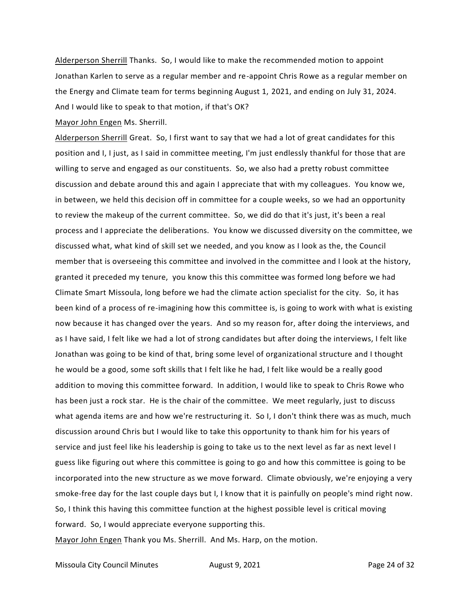Alderperson Sherrill Thanks. So, I would like to make the recommended motion to appoint Jonathan Karlen to serve as a regular member and re-appoint Chris Rowe as a regular member on the Energy and Climate team for terms beginning August 1, 2021, and ending on July 31, 2024. And I would like to speak to that motion, if that's OK?

Mayor John Engen Ms. Sherrill.

Alderperson Sherrill Great. So, I first want to say that we had a lot of great candidates for this position and I, I just, as I said in committee meeting, I'm just endlessly thankful for those that are willing to serve and engaged as our constituents. So, we also had a pretty robust committee discussion and debate around this and again I appreciate that with my colleagues. You know we, in between, we held this decision off in committee for a couple weeks, so we had an opportunity to review the makeup of the current committee. So, we did do that it's just, it's been a real process and I appreciate the deliberations. You know we discussed diversity on the committee, we discussed what, what kind of skill set we needed, and you know as I look as the, the Council member that is overseeing this committee and involved in the committee and I look at the history, granted it preceded my tenure, you know this this committee was formed long before we had Climate Smart Missoula, long before we had the climate action specialist for the city. So, it has been kind of a process of re-imagining how this committee is, is going to work with what is existing now because it has changed over the years. And so my reason for, after doing the interviews, and as I have said, I felt like we had a lot of strong candidates but after doing the interviews, I felt like Jonathan was going to be kind of that, bring some level of organizational structure and I thought he would be a good, some soft skills that I felt like he had, I felt like would be a really good addition to moving this committee forward. In addition, I would like to speak to Chris Rowe who has been just a rock star. He is the chair of the committee. We meet regularly, just to discuss what agenda items are and how we're restructuring it. So I, I don't think there was as much, much discussion around Chris but I would like to take this opportunity to thank him for his years of service and just feel like his leadership is going to take us to the next level as far as next level I guess like figuring out where this committee is going to go and how this committee is going to be incorporated into the new structure as we move forward. Climate obviously, we're enjoying a very smoke-free day for the last couple days but I, I know that it is painfully on people's mind right now. So, I think this having this committee function at the highest possible level is critical moving forward. So, I would appreciate everyone supporting this.

Mayor John Engen Thank you Ms. Sherrill. And Ms. Harp, on the motion.

Missoula City Council Minutes **August 9, 2021 Page 24 of 32**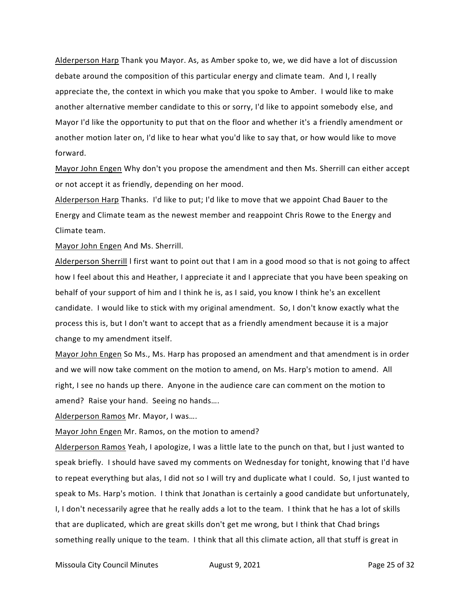Alderperson Harp Thank you Mayor. As, as Amber spoke to, we, we did have a lot of discussion debate around the composition of this particular energy and climate team. And I, I really appreciate the, the context in which you make that you spoke to Amber. I would like to make another alternative member candidate to this or sorry, I'd like to appoint somebody else, and Mayor I'd like the opportunity to put that on the floor and whether it's a friendly amendment or another motion later on, I'd like to hear what you'd like to say that, or how would like to move forward.

Mayor John Engen Why don't you propose the amendment and then Ms. Sherrill can either accept or not accept it as friendly, depending on her mood.

Alderperson Harp Thanks. I'd like to put; I'd like to move that we appoint Chad Bauer to the Energy and Climate team as the newest member and reappoint Chris Rowe to the Energy and Climate team.

Mayor John Engen And Ms. Sherrill.

Alderperson Sherrill I first want to point out that I am in a good mood so that is not going to affect how I feel about this and Heather, I appreciate it and I appreciate that you have been speaking on behalf of your support of him and I think he is, as I said, you know I think he's an excellent candidate. I would like to stick with my original amendment. So, I don't know exactly what the process this is, but I don't want to accept that as a friendly amendment because it is a major change to my amendment itself.

Mayor John Engen So Ms., Ms. Harp has proposed an amendment and that amendment is in order and we will now take comment on the motion to amend, on Ms. Harp's motion to amend. All right, I see no hands up there. Anyone in the audience care can comment on the motion to amend? Raise your hand. Seeing no hands….

Alderperson Ramos Mr. Mayor, I was….

Mayor John Engen Mr. Ramos, on the motion to amend?

Alderperson Ramos Yeah, I apologize, I was a little late to the punch on that, but I just wanted to speak briefly. I should have saved my comments on Wednesday for tonight, knowing that I'd have to repeat everything but alas, I did not so I will try and duplicate what I could. So, I just wanted to speak to Ms. Harp's motion. I think that Jonathan is certainly a good candidate but unfortunately, I, I don't necessarily agree that he really adds a lot to the team. I think that he has a lot of skills that are duplicated, which are great skills don't get me wrong, but I think that Chad brings something really unique to the team. I think that all this climate action, all that stuff is great in

Missoula City Council Minutes **August 9, 2021 Page 25 of 32**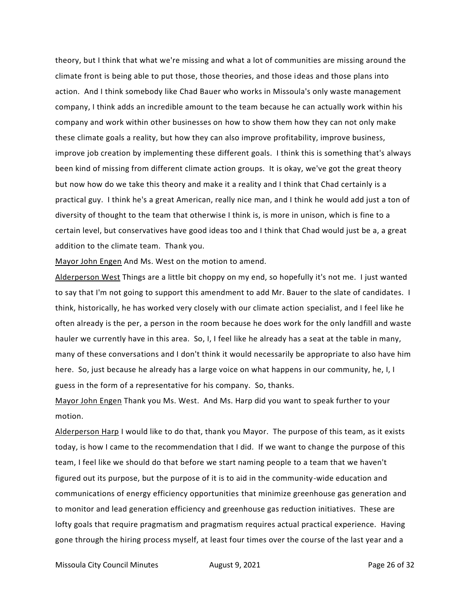theory, but I think that what we're missing and what a lot of communities are missing around the climate front is being able to put those, those theories, and those ideas and those plans into action. And I think somebody like Chad Bauer who works in Missoula's only waste management company, I think adds an incredible amount to the team because he can actually work within his company and work within other businesses on how to show them how they can not only make these climate goals a reality, but how they can also improve profitability, improve business, improve job creation by implementing these different goals. I think this is something that's always been kind of missing from different climate action groups. It is okay, we've got the great theory but now how do we take this theory and make it a reality and I think that Chad certainly is a practical guy. I think he's a great American, really nice man, and I think he would add just a ton of diversity of thought to the team that otherwise I think is, is more in unison, which is fine to a certain level, but conservatives have good ideas too and I think that Chad would just be a, a great addition to the climate team. Thank you.

Mayor John Engen And Ms. West on the motion to amend.

Alderperson West Things are a little bit choppy on my end, so hopefully it's not me. I just wanted to say that I'm not going to support this amendment to add Mr. Bauer to the slate of candidates. I think, historically, he has worked very closely with our climate action specialist, and I feel like he often already is the per, a person in the room because he does work for the only landfill and waste hauler we currently have in this area. So, I, I feel like he already has a seat at the table in many, many of these conversations and I don't think it would necessarily be appropriate to also have him here. So, just because he already has a large voice on what happens in our community, he, I, I guess in the form of a representative for his company. So, thanks.

Mayor John Engen Thank you Ms. West. And Ms. Harp did you want to speak further to your motion.

Alderperson Harp I would like to do that, thank you Mayor. The purpose of this team, as it exists today, is how I came to the recommendation that I did. If we want to change the purpose of this team, I feel like we should do that before we start naming people to a team that we haven't figured out its purpose, but the purpose of it is to aid in the community-wide education and communications of energy efficiency opportunities that minimize greenhouse gas generation and to monitor and lead generation efficiency and greenhouse gas reduction initiatives. These are lofty goals that require pragmatism and pragmatism requires actual practical experience. Having gone through the hiring process myself, at least four times over the course of the last year and a

Missoula City Council Minutes **August 9, 2021 Page 26 of 32**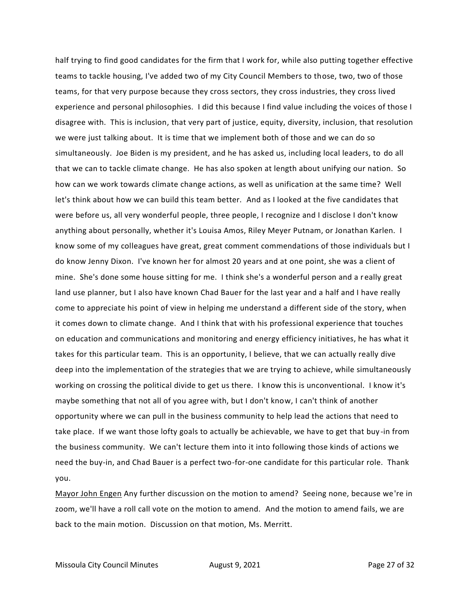half trying to find good candidates for the firm that I work for, while also putting together effective teams to tackle housing, I've added two of my City Council Members to those, two, two of those teams, for that very purpose because they cross sectors, they cross industries, they cross lived experience and personal philosophies. I did this because I find value including the voices of those I disagree with. This is inclusion, that very part of justice, equity, diversity, inclusion, that resolution we were just talking about. It is time that we implement both of those and we can do so simultaneously. Joe Biden is my president, and he has asked us, including local leaders, to do all that we can to tackle climate change. He has also spoken at length about unifying our nation. So how can we work towards climate change actions, as well as unification at the same time? Well let's think about how we can build this team better. And as I looked at the five candidates that were before us, all very wonderful people, three people, I recognize and I disclose I don't know anything about personally, whether it's Louisa Amos, Riley Meyer Putnam, or Jonathan Karlen. I know some of my colleagues have great, great comment commendations of those individuals but I do know Jenny Dixon. I've known her for almost 20 years and at one point, she was a client of mine. She's done some house sitting for me. I think she's a wonderful person and a really great land use planner, but I also have known Chad Bauer for the last year and a half and I have really come to appreciate his point of view in helping me understand a different side of the story, when it comes down to climate change. And I think that with his professional experience that touches on education and communications and monitoring and energy efficiency initiatives, he has what it takes for this particular team. This is an opportunity, I believe, that we can actually really dive deep into the implementation of the strategies that we are trying to achieve, while simultaneously working on crossing the political divide to get us there. I know this is unconventional. I know it's maybe something that not all of you agree with, but I don't know, I can't think of another opportunity where we can pull in the business community to help lead the actions that need to take place. If we want those lofty goals to actually be achievable, we have to get that buy -in from the business community. We can't lecture them into it into following those kinds of actions we need the buy-in, and Chad Bauer is a perfect two-for-one candidate for this particular role. Thank you.

Mayor John Engen Any further discussion on the motion to amend? Seeing none, because we're in zoom, we'll have a roll call vote on the motion to amend. And the motion to amend fails, we are back to the main motion. Discussion on that motion, Ms. Merritt.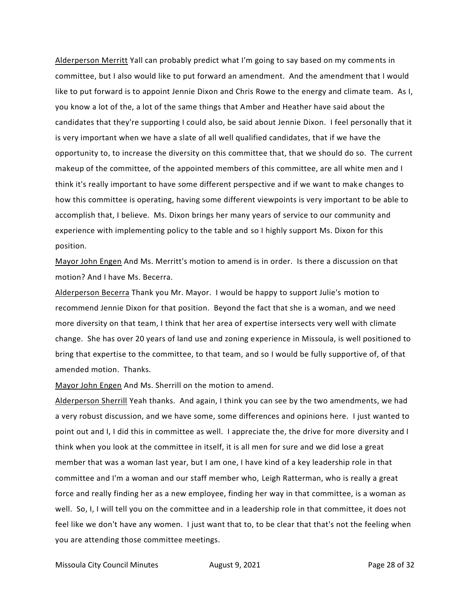Alderperson Merritt Yall can probably predict what I'm going to say based on my comments in committee, but I also would like to put forward an amendment. And the amendment that I would like to put forward is to appoint Jennie Dixon and Chris Rowe to the energy and climate team. As I, you know a lot of the, a lot of the same things that Amber and Heather have said about the candidates that they're supporting I could also, be said about Jennie Dixon. I feel personally that it is very important when we have a slate of all well qualified candidates, that if we have the opportunity to, to increase the diversity on this committee that, that we should do so. The current makeup of the committee, of the appointed members of this committee, are all white men and I think it's really important to have some different perspective and if we want to make changes to how this committee is operating, having some different viewpoints is very important to be able to accomplish that, I believe. Ms. Dixon brings her many years of service to our community and experience with implementing policy to the table and so I highly support Ms. Dixon for this position.

Mayor John Engen And Ms. Merritt's motion to amend is in order. Is there a discussion on that motion? And I have Ms. Becerra.

Alderperson Becerra Thank you Mr. Mayor. I would be happy to support Julie's motion to recommend Jennie Dixon for that position. Beyond the fact that she is a woman, and we need more diversity on that team, I think that her area of expertise intersects very well with climate change. She has over 20 years of land use and zoning experience in Missoula, is well positioned to bring that expertise to the committee, to that team, and so I would be fully supportive of, of that amended motion. Thanks.

Mayor John Engen And Ms. Sherrill on the motion to amend.

Alderperson Sherrill Yeah thanks. And again, I think you can see by the two amendments, we had a very robust discussion, and we have some, some differences and opinions here. I just wanted to point out and I, I did this in committee as well. I appreciate the, the drive for more diversity and I think when you look at the committee in itself, it is all men for sure and we did lose a great member that was a woman last year, but I am one, I have kind of a key leadership role in that committee and I'm a woman and our staff member who, Leigh Ratterman, who is really a great force and really finding her as a new employee, finding her way in that committee, is a woman as well. So, I, I will tell you on the committee and in a leadership role in that committee, it does not feel like we don't have any women. I just want that to, to be clear that that's not the feeling when you are attending those committee meetings.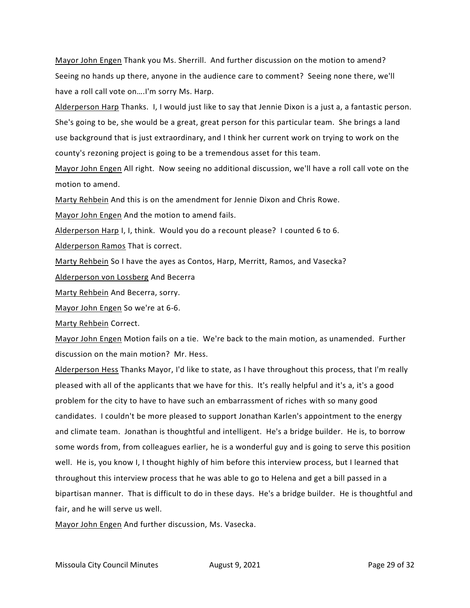Mayor John Engen Thank you Ms. Sherrill. And further discussion on the motion to amend? Seeing no hands up there, anyone in the audience care to comment? Seeing none there, we'll have a roll call vote on….I'm sorry Ms. Harp.

Alderperson Harp Thanks. I, I would just like to say that Jennie Dixon is a just a, a fantastic person. She's going to be, she would be a great, great person for this particular team. She brings a land use background that is just extraordinary, and I think her current work on trying to work on the county's rezoning project is going to be a tremendous asset for this team.

Mayor John Engen All right. Now seeing no additional discussion, we'll have a roll call vote on the motion to amend.

Marty Rehbein And this is on the amendment for Jennie Dixon and Chris Rowe.

Mayor John Engen And the motion to amend fails.

Alderperson Harp I, I, think. Would you do a recount please? I counted 6 to 6.

Alderperson Ramos That is correct.

Marty Rehbein So I have the ayes as Contos, Harp, Merritt, Ramos, and Vasecka?

Alderperson von Lossberg And Becerra

Marty Rehbein And Becerra, sorry.

Mayor John Engen So we're at 6-6.

Marty Rehbein Correct.

Mayor John Engen Motion fails on a tie. We're back to the main motion, as unamended. Further discussion on the main motion? Mr. Hess.

Alderperson Hess Thanks Mayor, I'd like to state, as I have throughout this process, that I'm really pleased with all of the applicants that we have for this. It's really helpful and it's a, it's a good problem for the city to have to have such an embarrassment of riches with so many good candidates. I couldn't be more pleased to support Jonathan Karlen's appointment to the energy and climate team. Jonathan is thoughtful and intelligent. He's a bridge builder. He is, to borrow some words from, from colleagues earlier, he is a wonderful guy and is going to serve this position well. He is, you know I, I thought highly of him before this interview process, but I learned that throughout this interview process that he was able to go to Helena and get a bill passed in a bipartisan manner. That is difficult to do in these days. He's a bridge builder. He is thoughtful and fair, and he will serve us well.

Mayor John Engen And further discussion, Ms. Vasecka.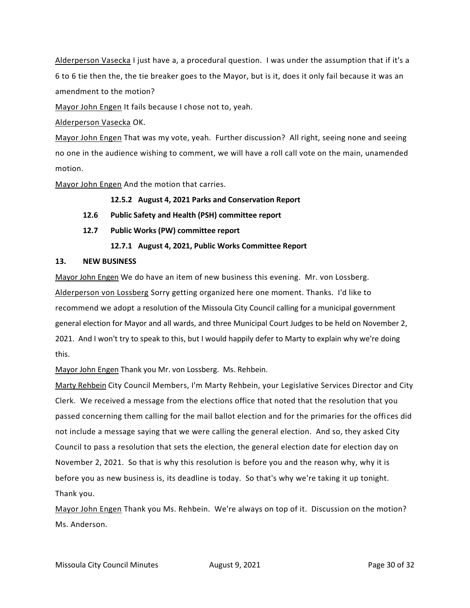Alderperson Vasecka I just have a, a procedural question. I was under the assumption that if it's a 6 to 6 tie then the, the tie breaker goes to the Mayor, but is it, does it only fail because it was an amendment to the motion?

Mayor John Engen It fails because I chose not to, yeah.

Alderperson Vasecka OK.

Mayor John Engen That was my vote, yeah. Further discussion? All right, seeing none and seeing no one in the audience wishing to comment, we will have a roll call vote on the main, unamended motion.

Mayor John Engen And the motion that carries.

## **12.5.2 August 4, 2021 Parks and Conservation Report**

- **12.6 Public Safety and Health (PSH) committee report**
- **12.7 Public Works (PW) committee report**

### **12.7.1 August 4, 2021, Public Works Committee Report**

#### **13. NEW BUSINESS**

Mayor John Engen We do have an item of new business this evening. Mr. von Lossberg. Alderperson von Lossberg Sorry getting organized here one moment. Thanks. I'd like to recommend we adopt a resolution of the Missoula City Council calling for a municipal government general election for Mayor and all wards, and three Municipal Court Judges to be held on November 2, 2021. And I won't try to speak to this, but I would happily defer to Marty to explain why we're doing this.

Mayor John Engen Thank you Mr. von Lossberg. Ms. Rehbein.

Marty Rehbein City Council Members, I'm Marty Rehbein, your Legislative Services Director and City Clerk. We received a message from the elections office that noted that the resolution that you passed concerning them calling for the mail ballot election and for the primaries for the offi ces did not include a message saying that we were calling the general election. And so, they asked City Council to pass a resolution that sets the election, the general election date for election day on November 2, 2021. So that is why this resolution is before you and the reason why, why it is before you as new business is, its deadline is today. So that's why we're taking it up tonight. Thank you.

Mayor John Engen Thank you Ms. Rehbein. We're always on top of it. Discussion on the motion? Ms. Anderson.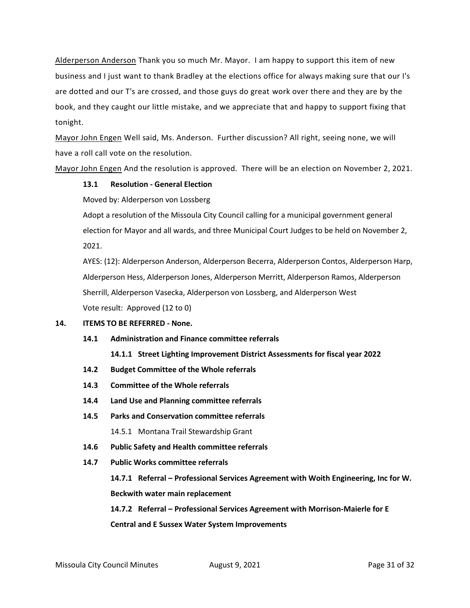Alderperson Anderson Thank you so much Mr. Mayor. I am happy to support this item of new business and I just want to thank Bradley at the elections office for always making sure that our I's are dotted and our T's are crossed, and those guys do great work over there and they are by the book, and they caught our little mistake, and we appreciate that and happy to support fixing that tonight.

Mayor John Engen Well said, Ms. Anderson. Further discussion? All right, seeing none, we will have a roll call vote on the resolution.

Mayor John Engen And the resolution is approved. There will be an election on November 2, 2021.

#### **13.1 Resolution - General Election**

Moved by: Alderperson von Lossberg

Adopt a resolution of the Missoula City Council calling for a municipal government general election for Mayor and all wards, and three Municipal Court Judges to be held on November 2, 2021.

AYES: (12): Alderperson Anderson, Alderperson Becerra, Alderperson Contos, Alderperson Harp, Alderperson Hess, Alderperson Jones, Alderperson Merritt, Alderperson Ramos, Alderperson Sherrill, Alderperson Vasecka, Alderperson von Lossberg, and Alderperson West Vote result: Approved (12 to 0)

#### **14. ITEMS TO BE REFERRED - None.**

**14.1 Administration and Finance committee referrals**

**14.1.1 Street Lighting Improvement District Assessments for fiscal year 2022**

- **14.2 Budget Committee of the Whole referrals**
- **14.3 Committee of the Whole referrals**
- **14.4 Land Use and Planning committee referrals**
- **14.5 Parks and Conservation committee referrals** 14.5.1 Montana Trail Stewardship Grant
- **14.6 Public Safety and Health committee referrals**
- **14.7 Public Works committee referrals**

```
14.7.1 Referral – Professional Services Agreement with Woith Engineering, Inc for W. 
Beckwith water main replacement
```
**14.7.2 Referral – Professional Services Agreement with Morrison-Maierle for E Central and E Sussex Water System Improvements**